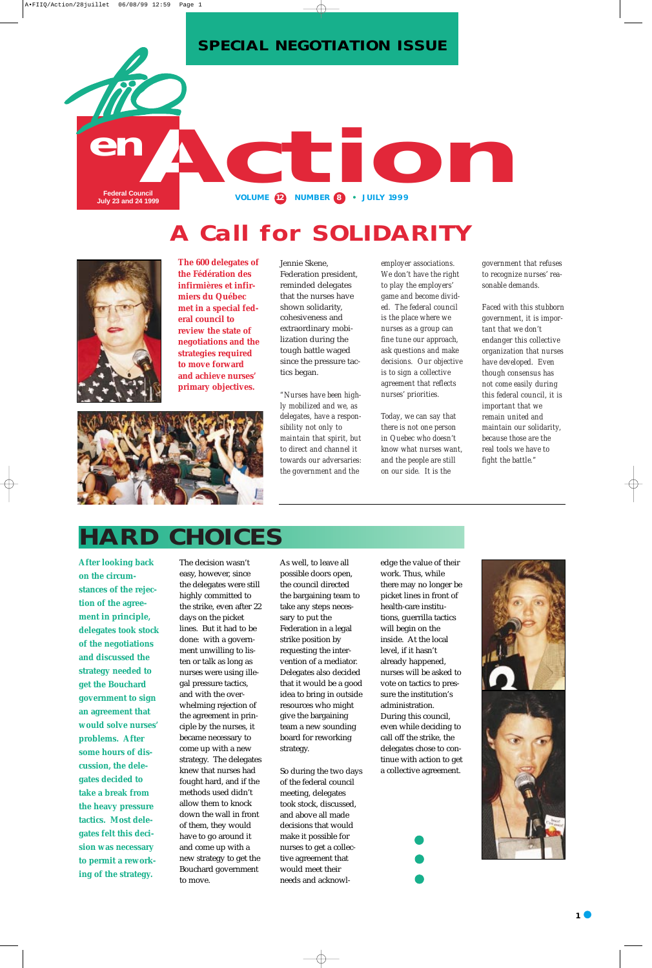

**The 600 delegates of the Fédération des infirmières et infirmiers du Québec met in a special federal council to review the state of negotiations and the strategies required to move forward and achieve nurses' primary objectives.**

Jennie Skene, Federation president, reminded delegates that the nurses have shown solidarity, cohesiveness and extraordinary mobilization during the tough battle waged since the pressure tactics began.

*"Nurses have been highly mobilized and we, as delegates, have a responsibility not only to maintain that spirit, but to direct and channel it towards our adversaries: the government and the*

*employer associations. We don't have the right to play the employers' game and become divided. The federal council is the place where we nurses as a group can fine tune our approach, ask questions and make decisions. Our objective is to sign a collective agreement that reflects nurses' priorities.*

*Today, we can say that there is not one person in Quebec who doesn't know what nurses want, and the people are still on our side. It is the*

*government that refuses to recognize nurses' reasonable demands.*

*Faced with this stubborn government, it is important that we don't endanger this collective organization that nurses have developed. Even though consensus has not come easily during this federal council, it is important that we remain united and maintain our solidarity, because those are the real tools we have to fight the battle."*



## **HARD CHOICES**

**After looking back on the circumstances of the rejection of the agreement in principle, delegates took stock of the negotiations and discussed the strategy needed to get the Bouchard government to sign an agreement that would solve nurses' problems. After some hours of discussion, the delegates decided to take a break from the heavy pressure tactics. Most delegates felt this decision was necessary to permit a reworking of the strategy.**



# **Call for SOLIDARITY**



The decision wasn't easy, however, since the delegates were still highly committed to the strike, even after 22 days on the picket lines. But it had to be done: with a government unwilling to listen or talk as long as nurses were using illegal pressure tactics, and with the overwhelming rejection of the agreement in principle by the nurses, it became necessary to come up with a new strategy. The delegates knew that nurses had fought hard, and if the methods used didn't allow them to knock down the wall in front of them, they would have to go around it and come up with a new strategy to get the Bouchard government to move.

As well, to leave all possible doors open, the council directed the bargaining team to take any steps necessary to put the Federation in a legal strike position by requesting the intervention of a mediator. Delegates also decided that it would be a good idea to bring in outside

resources who might give the bargaining team a new sounding board for reworking strategy.

So during the two days of the federal council meeting, delegates took stock, discussed, and above all made decisions that would make it possible for nurses to get a collective agreement that would meet their needs and acknowledge the value of their work. Thus, while there may no longer be picket lines in front of health-care institutions, guerrilla tactics will begin on the inside. At the local level, if it hasn't already happened, nurses will be asked to vote on tactics to pressure the institution's



administration. During this council, even while deciding to call off the strike, the delegates chose to continue with action to get a collective agreement.